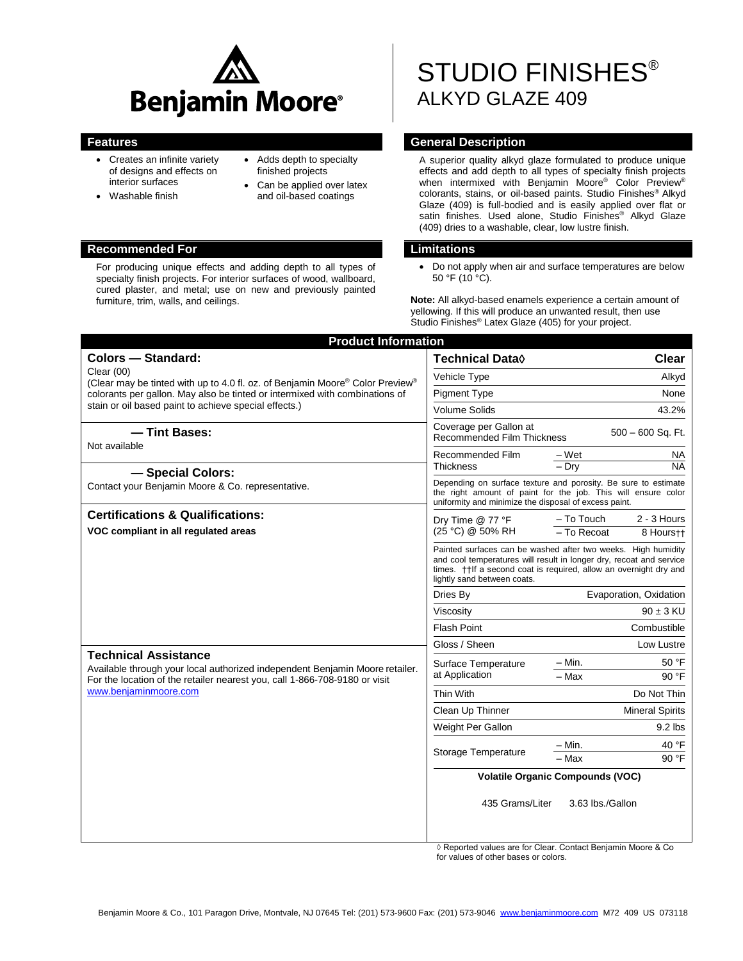

- Creates an infinite variety of designs and effects on interior surfaces
- Washable finish
- Adds depth to specialty finished projects
- Can be applied over latex and oil-based coatings

#### **Recommended For Limitations**

For producing unique effects and adding depth to all types of specialty finish projects. For interior surfaces of wood, wallboard, cured plaster, and metal; use on new and previously painted furniture, trim, walls, and ceilings.

# STUDIO FINISHES® ALKYD GLAZE 409

#### **Features General Description**

A superior quality alkyd glaze formulated to produce unique effects and add depth to all types of specialty finish projects when intermixed with Benjamin Moore® Color Preview® colorants, stains, or oil-based paints. Studio Finishes® Alkyd Glaze (409) is full-bodied and is easily applied over flat or satin finishes. Used alone, Studio Finishes® Alkyd Glaze (409) dries to a washable, clear, low lustre finish.

 Do not apply when air and surface temperatures are below 50 °F (10 °C).

**Note:** All alkyd-based enamels experience a certain amount of yellowing. If this will produce an unwanted result, then use Studio Finishes® Latex Glaze (405) for your project.

| <b>Product Information</b>                                                                                                                                                                                                                                 |                                                                                                                                                                                                                                            |
|------------------------------------------------------------------------------------------------------------------------------------------------------------------------------------------------------------------------------------------------------------|--------------------------------------------------------------------------------------------------------------------------------------------------------------------------------------------------------------------------------------------|
| <b>Colors - Standard:</b>                                                                                                                                                                                                                                  | <b>Clear</b><br><b>Technical Data</b> ♦                                                                                                                                                                                                    |
| Clear $(00)$<br>(Clear may be tinted with up to 4.0 fl. oz. of Benjamin Moore® Color Preview®<br>colorants per gallon. May also be tinted or intermixed with combinations of<br>stain or oil based paint to achieve special effects.)                      | Vehicle Type<br>Alkyd                                                                                                                                                                                                                      |
|                                                                                                                                                                                                                                                            | <b>Pigment Type</b><br>None                                                                                                                                                                                                                |
|                                                                                                                                                                                                                                                            | <b>Volume Solids</b><br>43.2%                                                                                                                                                                                                              |
| - Tint Bases:<br>Not available                                                                                                                                                                                                                             | Coverage per Gallon at<br>$500 - 600$ Sq. Ft.<br><b>Recommended Film Thickness</b>                                                                                                                                                         |
|                                                                                                                                                                                                                                                            | $-Wet$<br>Recommended Film<br>NA<br><b>Thickness</b><br>$-$ Dry<br><b>NA</b>                                                                                                                                                               |
| - Special Colors:<br>Contact your Benjamin Moore & Co. representative.                                                                                                                                                                                     | Depending on surface texture and porosity. Be sure to estimate<br>the right amount of paint for the job. This will ensure color<br>uniformity and minimize the disposal of excess paint.                                                   |
| <b>Certifications &amp; Qualifications:</b>                                                                                                                                                                                                                | $2 - 3$ Hours<br>- To Touch<br>Dry Time @ 77 °F                                                                                                                                                                                            |
| VOC compliant in all regulated areas<br><b>Technical Assistance</b><br>Available through your local authorized independent Benjamin Moore retailer.<br>For the location of the retailer nearest you, call 1-866-708-9180 or visit<br>www.benjaminmoore.com | (25 °C) @ 50% RH<br>- To Recoat<br>8 Hours++                                                                                                                                                                                               |
|                                                                                                                                                                                                                                                            | Painted surfaces can be washed after two weeks. High humidity<br>and cool temperatures will result in longer dry, recoat and service<br>times. †   If a second coat is required, allow an overnight dry and<br>lightly sand between coats. |
|                                                                                                                                                                                                                                                            | Evaporation, Oxidation<br>Dries By                                                                                                                                                                                                         |
|                                                                                                                                                                                                                                                            | $90 \pm 3$ KU<br>Viscosity                                                                                                                                                                                                                 |
|                                                                                                                                                                                                                                                            | Flash Point<br>Combustible                                                                                                                                                                                                                 |
|                                                                                                                                                                                                                                                            | Gloss / Sheen<br>Low Lustre                                                                                                                                                                                                                |
|                                                                                                                                                                                                                                                            | $-$ Min.<br>50 °F<br>Surface Temperature                                                                                                                                                                                                   |
|                                                                                                                                                                                                                                                            | at Application<br>$-$ Max<br>90 °F                                                                                                                                                                                                         |
|                                                                                                                                                                                                                                                            | Thin With<br>Do Not Thin                                                                                                                                                                                                                   |
|                                                                                                                                                                                                                                                            | Clean Up Thinner<br><b>Mineral Spirits</b>                                                                                                                                                                                                 |
|                                                                                                                                                                                                                                                            | Weight Per Gallon<br>$9.2$ lbs                                                                                                                                                                                                             |
|                                                                                                                                                                                                                                                            | 40 °F<br>$-$ Min.<br>Storage Temperature                                                                                                                                                                                                   |
|                                                                                                                                                                                                                                                            | 90 °F<br>$-$ Max                                                                                                                                                                                                                           |
|                                                                                                                                                                                                                                                            | <b>Volatile Organic Compounds (VOC)</b>                                                                                                                                                                                                    |
|                                                                                                                                                                                                                                                            | 3.63 lbs./Gallon<br>435 Grams/Liter                                                                                                                                                                                                        |

◊ Reported values are for Clear. Contact Benjamin Moore & Co for values of other bases or colors.